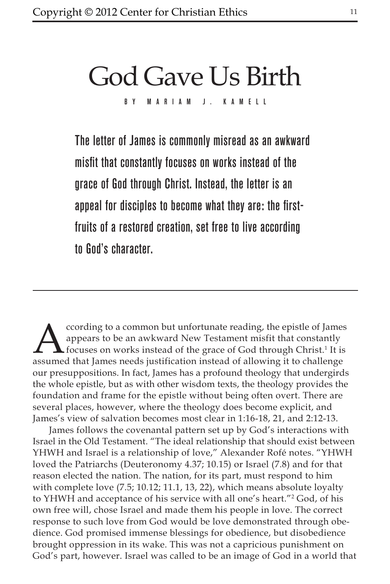# God Gave Us Birth

By Maria m J. Ka m ell

The letter of James is commonly misread as an awkward misfit that constantly focuses on works instead of the grace of God through Christ. Instead, the letter is an appeal for disciples to become what they are: the firstfruits of a restored creation, set free to live according to God's character.

cording to a common but unfortunate reading, the epistle of James<br>appears to be an awkward New Testament misfit that constantly<br>focuses on works instead of the grace of God through Christ.<sup>1</sup> It is<br>assumed that James needs appears to be an awkward New Testament misfit that constantly focuses on works instead of the grace of God through Christ.<sup>1</sup> It is assumed that James needs justification instead of allowing it to challenge our presuppositions. In fact, James has a profound theology that undergirds the whole epistle, but as with other wisdom texts, the theology provides the foundation and frame for the epistle without being often overt. There are several places, however, where the theology does become explicit, and James's view of salvation becomes most clear in 1:16-18, 21, and 2:12-13.

James follows the covenantal pattern set up by God's interactions with Israel in the Old Testament. "The ideal relationship that should exist between YHWH and Israel is a relationship of love," Alexander Rofé notes. "YHWH loved the Patriarchs (Deuteronomy 4.37; 10.15) or Israel (7.8) and for that reason elected the nation. The nation, for its part, must respond to him with complete love (7.5; 10.12; 11.1, 13, 22), which means absolute loyalty to YHWH and acceptance of his service with all one's heart."2 God, of his own free will, chose Israel and made them his people in love. The correct response to such love from God would be love demonstrated through obedience. God promised immense blessings for obedience, but disobedience brought oppression in its wake. This was not a capricious punishment on God's part, however. Israel was called to be an image of God in a world that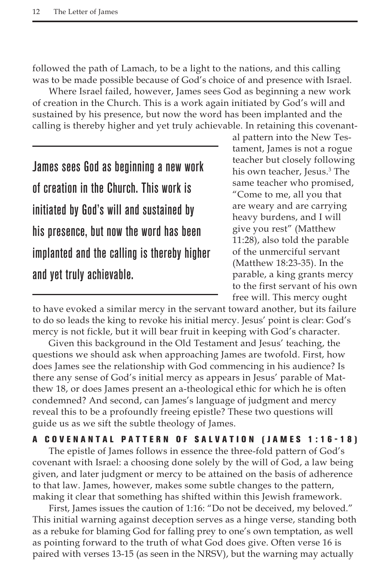followed the path of Lamach, to be a light to the nations, and this calling was to be made possible because of God's choice of and presence with Israel.

Where Israel failed, however, James sees God as beginning a new work of creation in the Church. This is a work again initiated by God's will and sustained by his presence, but now the word has been implanted and the calling is thereby higher and yet truly achievable. In retaining this covenant-

James sees God as beginning a new work of creation in the Church. This work is initiated by God's will and sustained by his presence, but now the word has been implanted and the calling is thereby higher and yet truly achievable.

al pattern into the New Testament, James is not a rogue teacher but closely following his own teacher, Jesus.3 The same teacher who promised, "Come to me, all you that are weary and are carrying heavy burdens, and I will give you rest" (Matthew 11:28), also told the parable of the unmerciful servant (Matthew 18:23-35). In the parable, a king grants mercy to the first servant of his own free will. This mercy ought

to have evoked a similar mercy in the servant toward another, but its failure to do so leads the king to revoke his initial mercy. Jesus' point is clear: God's mercy is not fickle, but it will bear fruit in keeping with God's character.

Given this background in the Old Testament and Jesus' teaching, the questions we should ask when approaching James are twofold. First, how does James see the relationship with God commencing in his audience? Is there any sense of God's initial mercy as appears in Jesus' parable of Matthew 18, or does James present an a-theological ethic for which he is often condemned? And second, can James's language of judgment and mercy reveal this to be a profoundly freeing epistle? These two questions will guide us as we sift the subtle theology of James.

## A COVENANTAL PATTERN OF SALVATION (JAMES 1:16-18)

The epistle of James follows in essence the three-fold pattern of God's covenant with Israel: a choosing done solely by the will of God, a law being given, and later judgment or mercy to be attained on the basis of adherence to that law. James, however, makes some subtle changes to the pattern, making it clear that something has shifted within this Jewish framework.

First, James issues the caution of 1:16: "Do not be deceived, my beloved." This initial warning against deception serves as a hinge verse, standing both as a rebuke for blaming God for falling prey to one's own temptation, as well as pointing forward to the truth of what God does give. Often verse 16 is paired with verses 13-15 (as seen in the NRSV), but the warning may actually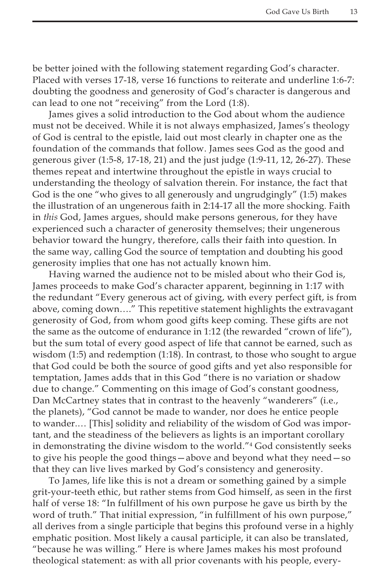be better joined with the following statement regarding God's character. Placed with verses 17-18, verse 16 functions to reiterate and underline 1:6-7: doubting the goodness and generosity of God's character is dangerous and can lead to one not "receiving" from the Lord (1:8).

James gives a solid introduction to the God about whom the audience must not be deceived. While it is not always emphasized, James's theology of God is central to the epistle, laid out most clearly in chapter one as the foundation of the commands that follow. James sees God as the good and generous giver (1:5-8, 17-18, 21) and the just judge (1:9-11, 12, 26-27). These themes repeat and intertwine throughout the epistle in ways crucial to understanding the theology of salvation therein. For instance, the fact that God is the one "who gives to all generously and ungrudgingly" (1:5) makes the illustration of an ungenerous faith in 2:14-17 all the more shocking. Faith in *this* God, James argues, should make persons generous, for they have experienced such a character of generosity themselves; their ungenerous behavior toward the hungry, therefore, calls their faith into question. In the same way, calling God the source of temptation and doubting his good generosity implies that one has not actually known him.

Having warned the audience not to be misled about who their God is, James proceeds to make God's character apparent, beginning in 1:17 with the redundant "Every generous act of giving, with every perfect gift, is from above, coming down…." This repetitive statement highlights the extravagant generosity of God, from whom good gifts keep coming. These gifts are not the same as the outcome of endurance in 1:12 (the rewarded "crown of life"), but the sum total of every good aspect of life that cannot be earned, such as wisdom (1:5) and redemption (1:18). In contrast, to those who sought to argue that God could be both the source of good gifts and yet also responsible for temptation, James adds that in this God "there is no variation or shadow due to change." Commenting on this image of God's constant goodness, Dan McCartney states that in contrast to the heavenly "wanderers" (i.e., the planets), "God cannot be made to wander, nor does he entice people to wander.… [This] solidity and reliability of the wisdom of God was important, and the steadiness of the believers as lights is an important corollary in demonstrating the divine wisdom to the world."4 God consistently seeks to give his people the good things—above and beyond what they need—so that they can live lives marked by God's consistency and generosity.

To James, life like this is not a dream or something gained by a simple grit-your-teeth ethic, but rather stems from God himself, as seen in the first half of verse 18: "In fulfillment of his own purpose he gave us birth by the word of truth." That initial expression, "in fulfillment of his own purpose," all derives from a single participle that begins this profound verse in a highly emphatic position. Most likely a causal participle, it can also be translated, "because he was willing." Here is where James makes his most profound theological statement: as with all prior covenants with his people, every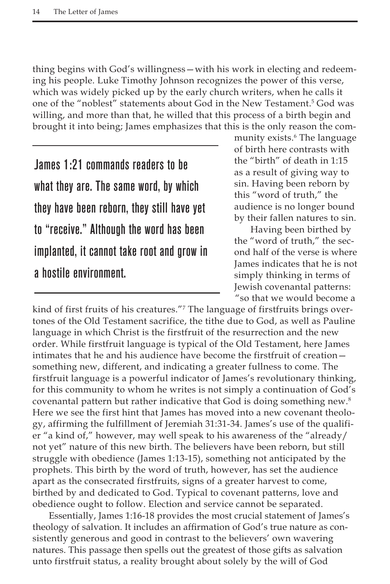thing begins with God's willingness—with his work in electing and redeeming his people. Luke Timothy Johnson recognizes the power of this verse, which was widely picked up by the early church writers, when he calls it one of the "noblest" statements about God in the New Testament.<sup>5</sup> God was willing, and more than that, he willed that this process of a birth begin and brought it into being; James emphasizes that this is the only reason the com-

James 1:21 commands readers to be what they are. The same word, by which they have been reborn, they still have yet to "receive." Although the word has been implanted, it cannot take root and grow in a hostile environment.

munity exists.6 The language of birth here contrasts with the "birth" of death in 1:15 as a result of giving way to sin. Having been reborn by this "word of truth," the audience is no longer bound by their fallen natures to sin.

Having been birthed by the "word of truth," the second half of the verse is where James indicates that he is not simply thinking in terms of Jewish covenantal patterns: "so that we would become a

kind of first fruits of his creatures."7 The language of firstfruits brings overtones of the Old Testament sacrifice, the tithe due to God, as well as Pauline language in which Christ is the firstfruit of the resurrection and the new order. While firstfruit language is typical of the Old Testament, here James intimates that he and his audience have become the firstfruit of creation something new, different, and indicating a greater fullness to come. The firstfruit language is a powerful indicator of James's revolutionary thinking, for this community to whom he writes is not simply a continuation of God's covenantal pattern but rather indicative that God is doing something new.<sup>8</sup> Here we see the first hint that James has moved into a new covenant theology, affirming the fulfillment of Jeremiah 31:31-34. James's use of the qualifier "a kind of," however, may well speak to his awareness of the "already/ not yet" nature of this new birth. The believers have been reborn, but still struggle with obedience (James 1:13-15), something not anticipated by the prophets. This birth by the word of truth, however, has set the audience apart as the consecrated firstfruits, signs of a greater harvest to come, birthed by and dedicated to God. Typical to covenant patterns, love and obedience ought to follow. Election and service cannot be separated.

Essentially, James 1:16-18 provides the most crucial statement of James's theology of salvation. It includes an affirmation of God's true nature as consistently generous and good in contrast to the believers' own wavering natures. This passage then spells out the greatest of those gifts as salvation unto firstfruit status, a reality brought about solely by the will of God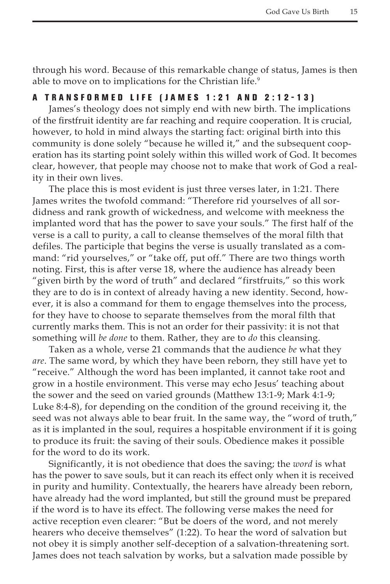through his word. Because of this remarkable change of status, James is then able to move on to implications for the Christian life.<sup>9</sup>

# A TRANSFORMED LIFE (JAMES 1:21 AND 2:12-13)

James's theology does not simply end with new birth. The implications of the firstfruit identity are far reaching and require cooperation. It is crucial, however, to hold in mind always the starting fact: original birth into this community is done solely "because he willed it," and the subsequent cooperation has its starting point solely within this willed work of God. It becomes clear, however, that people may choose not to make that work of God a reality in their own lives.

The place this is most evident is just three verses later, in 1:21. There James writes the twofold command: "Therefore rid yourselves of all sordidness and rank growth of wickedness, and welcome with meekness the implanted word that has the power to save your souls." The first half of the verse is a call to purity, a call to cleanse themselves of the moral filth that defiles. The participle that begins the verse is usually translated as a command: "rid yourselves," or "take off, put off." There are two things worth noting. First, this is after verse 18, where the audience has already been "given birth by the word of truth" and declared "firstfruits," so this work they are to do is in context of already having a new identity. Second, however, it is also a command for them to engage themselves into the process, for they have to choose to separate themselves from the moral filth that currently marks them. This is not an order for their passivity: it is not that something will *be done* to them. Rather, they are to *do* this cleansing.

Taken as a whole, verse 21 commands that the audience *be* what they *are*. The same word, by which they have been reborn, they still have yet to "receive." Although the word has been implanted, it cannot take root and grow in a hostile environment. This verse may echo Jesus' teaching about the sower and the seed on varied grounds (Matthew 13:1-9; Mark 4:1-9; Luke 8:4-8), for depending on the condition of the ground receiving it, the seed was not always able to bear fruit. In the same way, the "word of truth," as it is implanted in the soul, requires a hospitable environment if it is going to produce its fruit: the saving of their souls. Obedience makes it possible for the word to do its work.

Significantly, it is not obedience that does the saving; the *word* is what has the power to save souls, but it can reach its effect only when it is received in purity and humility. Contextually, the hearers have already been reborn, have already had the word implanted, but still the ground must be prepared if the word is to have its effect. The following verse makes the need for active reception even clearer: "But be doers of the word, and not merely hearers who deceive themselves" (1:22). To hear the word of salvation but not obey it is simply another self-deception of a salvation-threatening sort. James does not teach salvation by works, but a salvation made possible by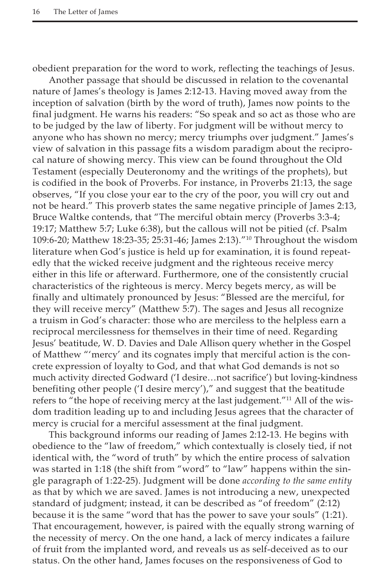obedient preparation for the word to work, reflecting the teachings of Jesus.

Another passage that should be discussed in relation to the covenantal nature of James's theology is James 2:12-13. Having moved away from the inception of salvation (birth by the word of truth), James now points to the final judgment. He warns his readers: "So speak and so act as those who are to be judged by the law of liberty. For judgment will be without mercy to anyone who has shown no mercy; mercy triumphs over judgment." James's view of salvation in this passage fits a wisdom paradigm about the reciprocal nature of showing mercy. This view can be found throughout the Old Testament (especially Deuteronomy and the writings of the prophets), but is codified in the book of Proverbs. For instance, in Proverbs 21:13, the sage observes, "If you close your ear to the cry of the poor, you will cry out and not be heard." This proverb states the same negative principle of James 2:13, Bruce Waltke contends, that "The merciful obtain mercy (Proverbs 3:3-4; 19:17; Matthew 5:7; Luke 6:38), but the callous will not be pitied (cf. Psalm 109:6-20; Matthew 18:23-35; 25:31-46; James 2:13)."10 Throughout the wisdom literature when God's justice is held up for examination, it is found repeatedly that the wicked receive judgment and the righteous receive mercy either in this life or afterward. Furthermore, one of the consistently crucial characteristics of the righteous is mercy. Mercy begets mercy, as will be finally and ultimately pronounced by Jesus: "Blessed are the merciful, for they will receive mercy" (Matthew 5:7). The sages and Jesus all recognize a truism in God's character: those who are merciless to the helpless earn a reciprocal mercilessness for themselves in their time of need. Regarding Jesus' beatitude, W. D. Davies and Dale Allison query whether in the Gospel of Matthew "'mercy' and its cognates imply that merciful action is the concrete expression of loyalty to God, and that what God demands is not so much activity directed Godward ('I desire…not sacrifice') but loving-kindness benefiting other people ('I desire mercy')," and suggest that the beatitude refers to "the hope of receiving mercy at the last judgement."<sup>11</sup> All of the wisdom tradition leading up to and including Jesus agrees that the character of mercy is crucial for a merciful assessment at the final judgment.

This background informs our reading of James 2:12-13. He begins with obedience to the "law of freedom," which contextually is closely tied, if not identical with, the "word of truth" by which the entire process of salvation was started in 1:18 (the shift from "word" to "law" happens within the single paragraph of 1:22-25). Judgment will be done *according to the same entity* as that by which we are saved. James is not introducing a new, unexpected standard of judgment; instead, it can be described as "of freedom" (2:12) because it is the same "word that has the power to save your souls" (1:21). That encouragement, however, is paired with the equally strong warning of the necessity of mercy. On the one hand, a lack of mercy indicates a failure of fruit from the implanted word, and reveals us as self-deceived as to our status. On the other hand, James focuses on the responsiveness of God to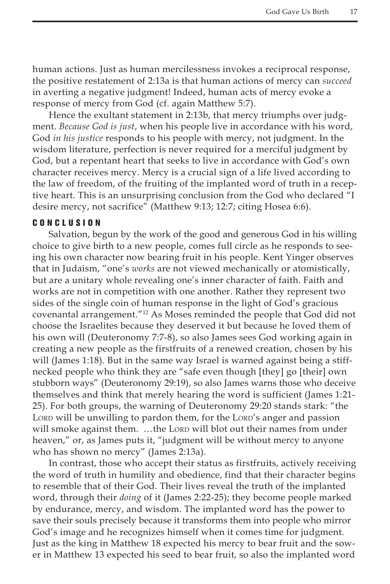human actions. Just as human mercilessness invokes a reciprocal response, the positive restatement of 2:13a is that human actions of mercy can *succeed* in averting a negative judgment! Indeed, human acts of mercy evoke a response of mercy from God (cf. again Matthew 5:7).

Hence the exultant statement in 2:13b, that mercy triumphs over judgment. *Because God is just*, when his people live in accordance with his word, God *in his justice* responds to his people with mercy, not judgment. In the wisdom literature, perfection is never required for a merciful judgment by God, but a repentant heart that seeks to live in accordance with God's own character receives mercy. Mercy is a crucial sign of a life lived according to the law of freedom, of the fruiting of the implanted word of truth in a receptive heart. This is an unsurprising conclusion from the God who declared "I desire mercy, not sacrifice" (Matthew 9:13; 12:7; citing Hosea 6:6).

### Con c l u s ion

Salvation, begun by the work of the good and generous God in his willing choice to give birth to a new people, comes full circle as he responds to seeing his own character now bearing fruit in his people. Kent Yinger observes that in Judaism, "one's *works* are not viewed mechanically or atomistically, but are a unitary whole revealing one's inner character of faith. Faith and works are not in competition with one another. Rather they represent two sides of the single coin of human response in the light of God's gracious covenantal arrangement."12 As Moses reminded the people that God did not choose the Israelites because they deserved it but because he loved them of his own will (Deuteronomy 7:7-8), so also James sees God working again in creating a new people as the firstfruits of a renewed creation, chosen by his will (James 1:18). But in the same way Israel is warned against being a stiffnecked people who think they are "safe even though [they] go [their] own stubborn ways" (Deuteronomy 29:19), so also James warns those who deceive themselves and think that merely hearing the word is sufficient (James 1:21- 25). For both groups, the warning of Deuteronomy 29:20 stands stark: "the LORD will be unwilling to pardon them, for the LORD's anger and passion will smoke against them. ...the Lorp will blot out their names from under heaven," or, as James puts it, "judgment will be without mercy to anyone who has shown no mercy" (James 2:13a).

In contrast, those who accept their status as firstfruits, actively receiving the word of truth in humility and obedience, find that their character begins to resemble that of their God. Their lives reveal the truth of the implanted word, through their *doing* of it (James 2:22-25); they become people marked by endurance, mercy, and wisdom. The implanted word has the power to save their souls precisely because it transforms them into people who mirror God's image and he recognizes himself when it comes time for judgment. Just as the king in Matthew 18 expected his mercy to bear fruit and the sower in Matthew 13 expected his seed to bear fruit, so also the implanted word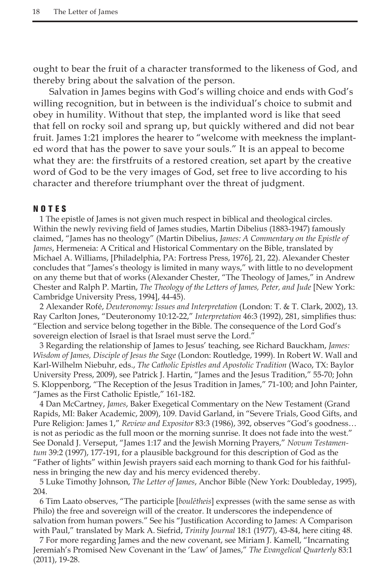ought to bear the fruit of a character transformed to the likeness of God, and thereby bring about the salvation of the person.

Salvation in James begins with God's willing choice and ends with God's willing recognition, but in between is the individual's choice to submit and obey in humility. Without that step, the implanted word is like that seed that fell on rocky soil and sprang up, but quickly withered and did not bear fruit. James 1:21 implores the hearer to "welcome with meekness the implanted word that has the power to save your souls." It is an appeal to become what they are: the firstfruits of a restored creation, set apart by the creative word of God to be the very images of God, set free to live according to his character and therefore triumphant over the threat of judgment.

### NOTE S

1 The epistle of James is not given much respect in biblical and theological circles. Within the newly reviving field of James studies, Martin Dibelius (1883-1947) famously claimed, "James has no theology" (Martin Dibelius, *James: A Commentary on the Epistle of James*, Hermeneia: A Critical and Historical Commentary on the Bible, translated by Michael A. Williams, [Philadelphia, PA: Fortress Press, 1976], 21, 22). Alexander Chester concludes that "James's theology is limited in many ways," with little to no development on any theme but that of works (Alexander Chester, "The Theology of James," in Andrew Chester and Ralph P. Martin, *The Theology of the Letters of James, Peter, and Jude* [New York: Cambridge University Press, 1994], 44-45).

2 Alexander Rofé, *Deuteronomy: Issues and Interpretation* (London: T. & T. Clark, 2002), 13. Ray Carlton Jones, "Deuteronomy 10:12-22," *Interpretation* 46:3 (1992), 281, simplifies thus: "Election and service belong together in the Bible. The consequence of the Lord God's sovereign election of Israel is that Israel must serve the Lord."

3 Regarding the relationship of James to Jesus' teaching, see Richard Bauckham, *James: Wisdom of James, Disciple of Jesus the Sage* (London: Routledge, 1999). In Robert W. Wall and Karl-Wilhelm Niebuhr, eds., *The Catholic Epistles and Apostolic Tradition* (Waco, TX: Baylor University Press, 2009), see Patrick J. Hartin, "James and the Jesus Tradition," 55-70; John S. Kloppenborg, "The Reception of the Jesus Tradition in James," 71-100; and John Painter, "James as the First Catholic Epistle," 161-182.

4 Dan McCartney, *James*, Baker Exegetical Commentary on the New Testament (Grand Rapids, MI: Baker Academic, 2009), 109. David Garland, in "Severe Trials, Good Gifts, and Pure Religion: James 1," *Review and Expositor* 83:3 (1986), 392, observes "God's goodness… is not as periodic as the full moon or the morning sunrise. It does not fade into the west." See Donald J. Verseput, "James 1:17 and the Jewish Morning Prayers," *Novum Testamentum* 39:2 (1997), 177-191, for a plausible background for this description of God as the "Father of lights" within Jewish prayers said each morning to thank God for his faithfulness in bringing the new day and his mercy evidenced thereby.

5 Luke Timothy Johnson, *The Letter of James*, Anchor Bible (New York: Doubleday, 1995), 204.

6 Tim Laato observes, "The participle [*boulētheis*] expresses (with the same sense as with Philo) the free and sovereign will of the creator. It underscores the independence of salvation from human powers." See his "Justification According to James: A Comparison with Paul," translated by Mark A. Siefrid, *Trinity Journal* 18:1 (1977), 43-84, here citing 48.

7 For more regarding James and the new covenant, see Miriam J. Kamell, "Incarnating Jeremiah's Promised New Covenant in the 'Law' of James," *The Evangelical Quarterly* 83:1 (2011), 19-28.